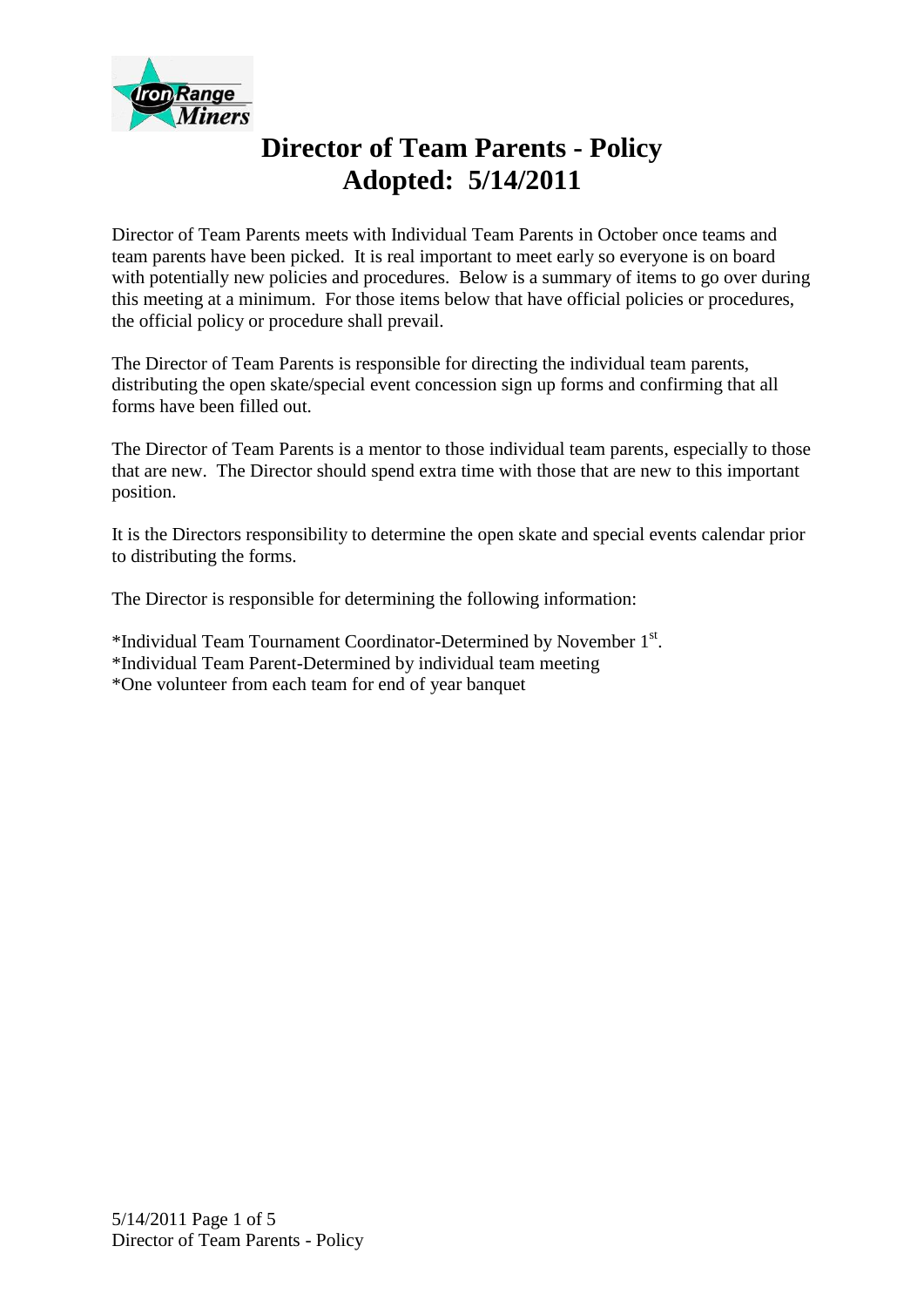

# **Director of Team Parents - Policy Adopted: 5/14/2011**

Director of Team Parents meets with Individual Team Parents in October once teams and team parents have been picked. It is real important to meet early so everyone is on board with potentially new policies and procedures. Below is a summary of items to go over during this meeting at a minimum. For those items below that have official policies or procedures, the official policy or procedure shall prevail.

The Director of Team Parents is responsible for directing the individual team parents, distributing the open skate/special event concession sign up forms and confirming that all forms have been filled out.

The Director of Team Parents is a mentor to those individual team parents, especially to those that are new. The Director should spend extra time with those that are new to this important position.

It is the Directors responsibility to determine the open skate and special events calendar prior to distributing the forms.

The Director is responsible for determining the following information:

\*Individual Team Tournament Coordinator-Determined by November 1st. \*Individual Team Parent-Determined by individual team meeting \*One volunteer from each team for end of year banquet

5/14/2011 Page 1 of 5 Director of Team Parents - Policy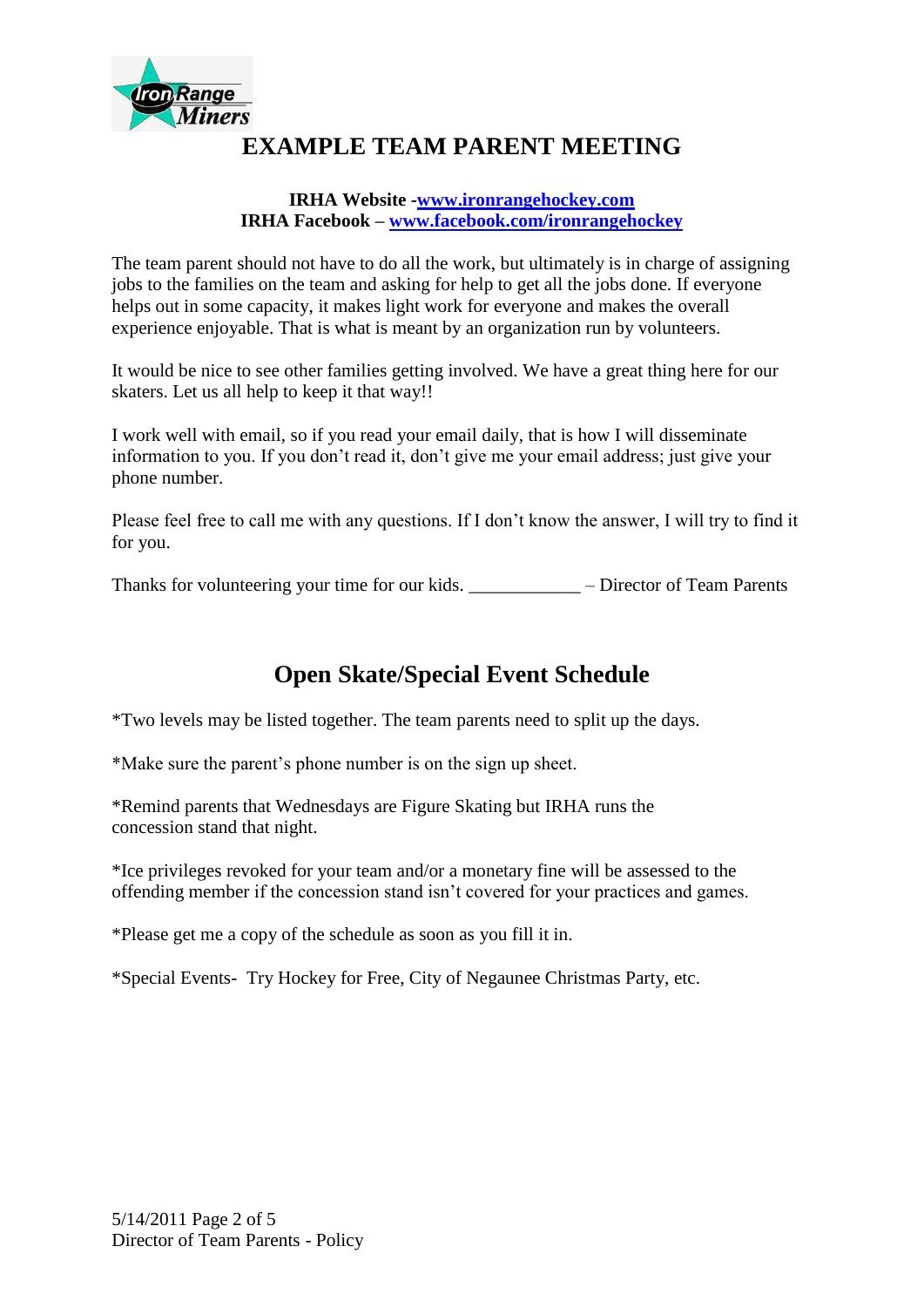

# **EXAMPLE TEAM PARENT MEETING**

#### **IRHA Website -www.ironrangehockey.com IRHA Facebook – www.facebook.com/ironrangehockey**

The team parent should not have to do all the work, but ultimately is in charge of assigning jobs to the families on the team and asking for help to get all the jobs done. If everyone helps out in some capacity, it makes light work for everyone and makes the overall experience enjoyable. That is what is meant by an organization run by volunteers.

It would be nice to see other families getting involved. We have a great thing here for our skaters. Let us all help to keep it that way!!

I work well with email, so if you read your email daily, that is how I will disseminate information to you. If you don't read it, don't give me your email address; just give your phone number.

Please feel free to call me with any questions. If I don't know the answer, I will try to find it for you.

Thanks for volunteering your time for our kids. \_\_\_\_\_\_\_\_\_\_\_\_ – Director of Team Parents

# **Open Skate/Special Event Schedule**

\*Two levels may be listed together. The team parents need to split up the days.

\*Make sure the parent's phone number is on the sign up sheet.

\*Remind parents that Wednesdays are Figure Skating but IRHA runs the concession stand that night.

\*Ice privileges revoked for your team and/or a monetary fine will be assessed to the offending member if the concession stand isn't covered for your practices and games.

\*Please get me a copy of the schedule as soon as you fill it in.

\*Special Events- Try Hockey for Free, City of Negaunee Christmas Party, etc.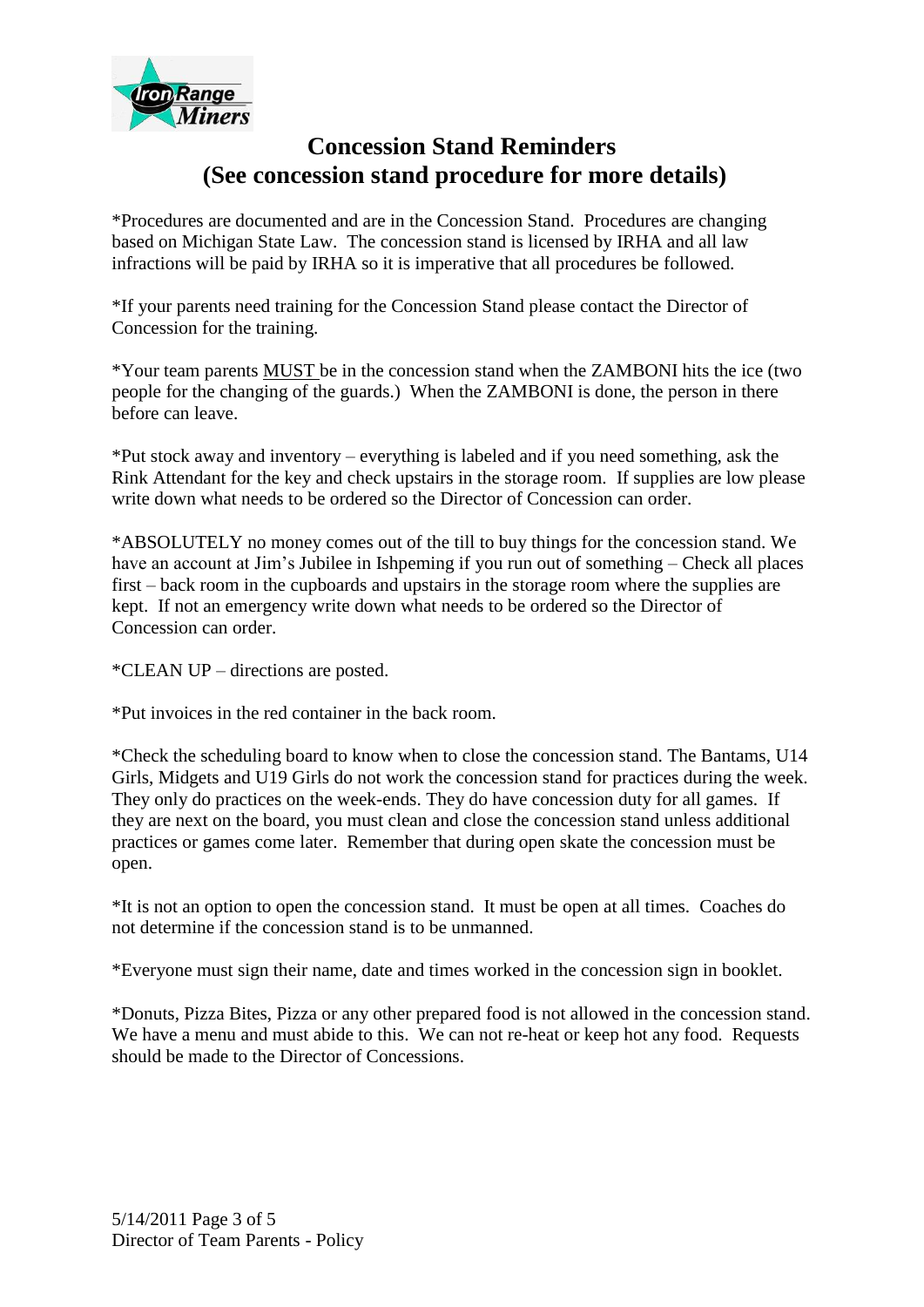

### **Concession Stand Reminders (See concession stand procedure for more details)**

\*Procedures are documented and are in the Concession Stand. Procedures are changing based on Michigan State Law. The concession stand is licensed by IRHA and all law infractions will be paid by IRHA so it is imperative that all procedures be followed.

\*If your parents need training for the Concession Stand please contact the Director of Concession for the training.

\*Your team parents MUST be in the concession stand when the ZAMBONI hits the ice (two people for the changing of the guards.) When the ZAMBONI is done, the person in there before can leave.

\*Put stock away and inventory – everything is labeled and if you need something, ask the Rink Attendant for the key and check upstairs in the storage room. If supplies are low please write down what needs to be ordered so the Director of Concession can order.

\*ABSOLUTELY no money comes out of the till to buy things for the concession stand. We have an account at Jim's Jubilee in Ishpeming if you run out of something – Check all places first – back room in the cupboards and upstairs in the storage room where the supplies are kept. If not an emergency write down what needs to be ordered so the Director of Concession can order.

\*CLEAN UP – directions are posted.

\*Put invoices in the red container in the back room.

\*Check the scheduling board to know when to close the concession stand. The Bantams, U14 Girls, Midgets and U19 Girls do not work the concession stand for practices during the week. They only do practices on the week-ends. They do have concession duty for all games. If they are next on the board, you must clean and close the concession stand unless additional practices or games come later. Remember that during open skate the concession must be open.

\*It is not an option to open the concession stand. It must be open at all times. Coaches do not determine if the concession stand is to be unmanned.

\*Everyone must sign their name, date and times worked in the concession sign in booklet.

\*Donuts, Pizza Bites, Pizza or any other prepared food is not allowed in the concession stand. We have a menu and must abide to this. We can not re-heat or keep hot any food. Requests should be made to the Director of Concessions.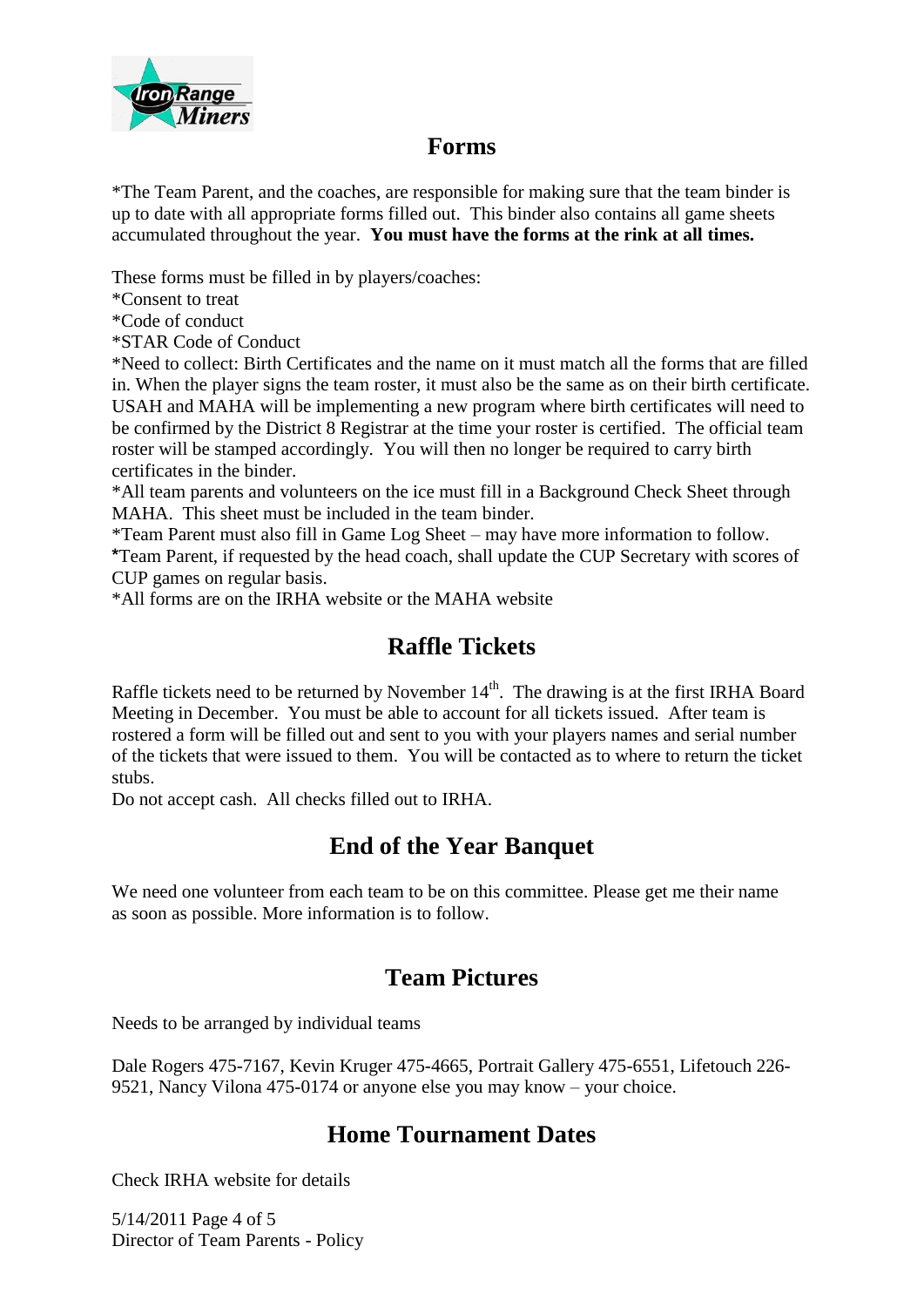

#### **Forms**

\*The Team Parent, and the coaches, are responsible for making sure that the team binder is up to date with all appropriate forms filled out. This binder also contains all game sheets accumulated throughout the year. **You must have the forms at the rink at all times.**

These forms must be filled in by players/coaches:

\*Consent to treat

\*Code of conduct

\*STAR Code of Conduct

\*Need to collect: Birth Certificates and the name on it must match all the forms that are filled in. When the player signs the team roster, it must also be the same as on their birth certificate. USAH and MAHA will be implementing a new program where birth certificates will need to be confirmed by the District 8 Registrar at the time your roster is certified. The official team roster will be stamped accordingly. You will then no longer be required to carry birth certificates in the binder.

\*All team parents and volunteers on the ice must fill in a Background Check Sheet through MAHA. This sheet must be included in the team binder.

\*Team Parent must also fill in Game Log Sheet – may have more information to follow.

**\***Team Parent, if requested by the head coach, shall update the CUP Secretary with scores of CUP games on regular basis.

\*All forms are on the IRHA website or the MAHA website

### **Raffle Tickets**

Raffle tickets need to be returned by November  $14<sup>th</sup>$ . The drawing is at the first IRHA Board Meeting in December. You must be able to account for all tickets issued. After team is rostered a form will be filled out and sent to you with your players names and serial number of the tickets that were issued to them. You will be contacted as to where to return the ticket stubs.

Do not accept cash. All checks filled out to IRHA.

#### **End of the Year Banquet**

We need one volunteer from each team to be on this committee. Please get me their name as soon as possible. More information is to follow.

#### **Team Pictures**

Needs to be arranged by individual teams

Dale Rogers 475-7167, Kevin Kruger 475-4665, Portrait Gallery 475-6551, Lifetouch 226- 9521, Nancy Vilona 475-0174 or anyone else you may know – your choice.

# **Home Tournament Dates**

Check IRHA website for details

5/14/2011 Page 4 of 5 Director of Team Parents - Policy